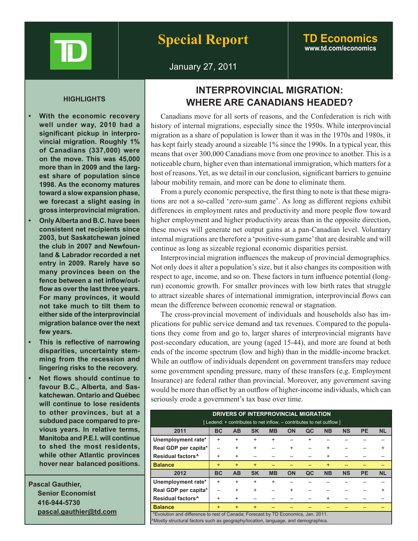

# **www.td.com/economics**

January 27, 2011

- **• With the economic recovery well under way, 2010 had a significant pickup in interprovincial migration. Roughly 1% of Canadians (337,000) were on the move. This was 45,000 more than in 2009 and the largest share of population since 1998. As the economy matures toward a slow expansion phase, we forecast a slight easing in gross interprovincial migration.**
- **• Only Alberta and B.C. have been consistent net recipients since 2003, but Saskatchewan joined the club in 2007 and Newfounland & Labrador recorded a net entry in 2009. Rarely have so many provinces been on the fence between a net inflow/outflow as overthe last three years. For many provinces, it would not take much to tilt them to either side of the interprovincial migration balance over the next few years.**
- **• This is reflective of narrowing disparities, uncertainty stemming from the recession and lingering risks to the recovery.**
- **• Net flows should continue to favour B.C., Alberta, and Saskatchewan. Ontario and Québec will continue to lose residents to other provinces, but at a subdued pace compared to previous years. In relative terms, Manitoba and P.E.I. will continue to shed the most residents, while other Atlantic provinces hover near balanced positions.**

**Pascal Gauthier, Senior Economist 416-944-5730 pascal.gauthier@td.com**

## **INTERPROVINCIAL MIGRATION: WHERE ARE CANADIANS HEADED? HIGHLIGHTS**

Canadians move for all sorts of reasons, and the Confederation is rich with history of internal migrations, especially since the 1950s. While interprovincial migration as a share of population is lower than it was in the 1970s and 1980s, it has kept fairly steady around a sizeable 1% since the 1990s. In a typical year, this means that over 300,000 Canadians move from one province to another. This is a noticeable churn, higher even than international immigration, which matters for a host of reasons. Yet, as we detail in our conclusion, significant barriers to genuine labour mobility remain, and more can be done to eliminate them.

From a purely economic perspective, the first thing to note is that these migrations are not a so-called 'zero-sum game'. As long as different regions exhibit differences in employment rates and productivity and more people flow toward higher employment and higher productivity areas than in the opposite direction, these moves will generate net output gains at a pan-Canadian level. Voluntary internal migrations are therefore a 'positive-sum game' that are desirable and will continue as long as sizeable regional economic disparities persist.

Interprovincial migration influences the makeup of provincial demographics. Not only does it alter a population's size, but it also changes its composition with respect to age, income, and so on. These factors in turn influence potential (longrun) economic growth. For smaller provinces with low birth rates that struggle to attract sizeable shares of international immigration, interprovincial flows can mean the difference between economic renewal or stagnation.

The cross-provincial movement of individuals and households also has implications for public service demand and tax revenues. Compared to the populations they come from and go to, larger shares of interprovincial migrants have post-secondary education, are young (aged 15-44), and more are found at both ends of the income spectrum (low and high) than in the middle-income bracket. While an outflow of individuals dependent on government transfers may reduce some government spending pressure, many of these transfers (e.g. Employment Insurance) are federal rather than provincial. Moreover, any government saving would be more than offset by an outflow of higher-income individuals, which can seriously erode a government's tax base over time.

| DRIVERS OF INTERPROVINCIAL MIGRATION                                              |           |           |           |           |           |           |           |           |           |           |
|-----------------------------------------------------------------------------------|-----------|-----------|-----------|-----------|-----------|-----------|-----------|-----------|-----------|-----------|
| [Ledend: + contributes to net inflow, – contributes to net outflow]               |           |           |           |           |           |           |           |           |           |           |
|                                                                                   |           |           |           |           |           |           |           |           |           |           |
| 2011                                                                              | <b>BC</b> | <b>AB</b> | <b>SK</b> | <b>MB</b> | <b>ON</b> | QC        | <b>NB</b> | <b>NS</b> | <b>PE</b> | <b>NL</b> |
| Unemployment rate*                                                                | $\ddot{}$ | $\ddot{}$ | $\ddot{}$ | $\ddot{}$ |           | $\ddot{}$ |           |           |           |           |
| Real GDP per capita*                                                              |           | $\ddot{}$ | $\ddot{}$ |           | $\ddot{}$ |           | +         |           |           |           |
| Residual factors <sup>^</sup>                                                     | $\ddot{}$ | $\ddot{}$ |           |           |           |           | $\ddot{}$ |           |           |           |
| <b>Balance</b>                                                                    | $\ddot{}$ | $+$       | $+$       |           |           |           | $\ddot{}$ |           |           |           |
| 2012                                                                              | <b>BC</b> | <b>AB</b> | <b>SK</b> | <b>MB</b> | ON        | QC        | <b>NB</b> | <b>NS</b> | <b>PE</b> | <b>NL</b> |
| Unemployment rate*                                                                | +         | $\ddot{}$ | $\ddot{}$ | +         |           |           |           |           |           |           |
| Real GDP per capita*                                                              |           | $\ddot{}$ | $\ddot{}$ |           | $\ddot{}$ |           |           |           |           |           |
| Residual factors <sup>^</sup>                                                     | $\ddot{}$ | $\ddot{}$ |           |           |           |           | +         |           |           |           |
| <b>Balance</b>                                                                    | $\ddot{}$ | $\ddot{}$ | $+$       |           |           |           |           |           |           |           |
| *Evolution and difference to rest of Canada; Forecast by TD Economics, Jan. 2011. |           |           |           |           |           |           |           |           |           |           |
| Mostly structural factors such as geography/location, language, and demographics. |           |           |           |           |           |           |           |           |           |           |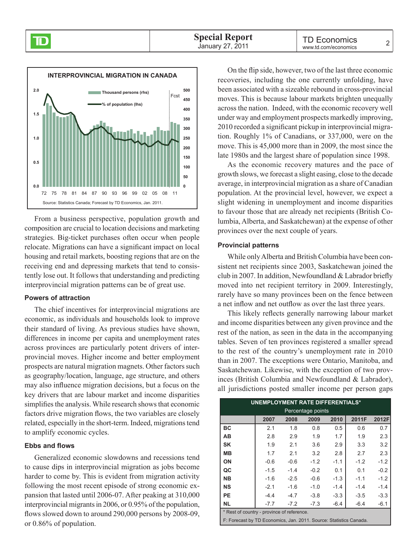

From a business perspective, population growth and composition are crucial to location decisions and marketing strategies. Big-ticket purchases often occur when people relocate. Migrations can have a significant impact on local housing and retail markets, boosting regions that are on the receiving end and depressing markets that tend to consistently lose out. It follows that understanding and predicting interprovincial migration patterns can be of great use.

### **Powers of attraction**

The chief incentives for interprovincial migrations are economic, as individuals and households look to improve their standard of living. As previous studies have shown, differences in income per capita and unemployment rates across provinces are particularly potent drivers of interprovincial moves. Higher income and better employment prospects are natural migration magnets. Other factors such as geography/location, language, age structure, and others may also influence migration decisions, but a focus on the key drivers that are labour market and income disparities simplifies the analysis. While research shows that economic factors drive migration flows, the two variables are closely related, especially in the short-term. Indeed, migrations tend to amplify economic cycles.

### **Ebbs and flows**

Generalized economic slowdowns and recessions tend to cause dips in interprovincial migration as jobs become harder to come by. This is evident from migration activity following the most recent episode of strong economic expansion that lasted until 2006-07. After peaking at 310,000 interprovincial migrants in 2006, or 0.95% of the population, flows slowed down to around 290,000 persons by 2008-09, or 0.86% of population.

On the flip side, however, two of the last three economic recoveries, including the one currently unfolding, have been associated with a sizeable rebound in cross-provincial moves. This is because labour markets brighten unequally across the nation. Indeed, with the economic recovery well under way and employment prospects markedly improving, 2010 recorded a significant pickup in interprovincial migration. Roughly 1% of Canadians, or 337,000, were on the move. This is 45,000 more than in 2009, the most since the late 1980s and the largest share of population since 1998.

As the economic recovery matures and the pace of growth slows, we forecast a slight easing, close to the decade average, in interprovincial migration as a share of Canadian population. At the provincial level, however, we expect a slight widening in unemployment and income disparities to favour those that are already net recipients (British Columbia, Alberta, and Saskatchewan) at the expense of other provinces over the next couple of years.

### **Provincial patterns**

While only Alberta and British Columbia have been consistent net recipients since 2003, Saskatchewan joined the club in 2007. In addition, Newfoundland & Labrador briefly moved into net recipient territory in 2009. Interestingly, rarely have so many provinces been on the fence between a net inflow and net outflow as over the last three years.

This likely reflects generally narrowing labour market and income disparities between any given province and the rest of the nation, as seen in the data in the accompanying tables. Seven of ten provinces registered a smaller spread to the rest of the country's unemployment rate in 2010 than in 2007. The exceptions were Ontario, Manitoba, and Saskatchewan. Likewise, with the exception of two provinces (British Columbia and Newfoundland & Labrador), all jurisdictions posted smaller income per person gaps

| <b>UNEMPLOYMENT RATE DIFFERENTIALS*</b>    |        |        |        |        |        |        |  |  |
|--------------------------------------------|--------|--------|--------|--------|--------|--------|--|--|
| Percentage points                          |        |        |        |        |        |        |  |  |
|                                            | 2007   | 2008   | 2009   | 2010   | 2011F  | 2012F  |  |  |
| <b>BC</b>                                  | 2.1    | 1.8    | 0.8    | 0.5    | 0.6    | 0.7    |  |  |
| AB                                         | 2.8    | 2.9    | 1.9    | 1.7    | 1.9    | 2.3    |  |  |
| <b>SK</b>                                  | 1.9    | 2.1    | 3.6    | 2.9    | 3.3    | 3.2    |  |  |
| <b>MB</b>                                  | 1.7    | 2.1    | 3.2    | 2.8    | 2.7    | 2.3    |  |  |
| ON                                         | $-0.6$ | $-0.6$ | $-1.2$ | $-1.1$ | $-1.2$ | $-1.2$ |  |  |
| QC                                         | $-1.5$ | $-1.4$ | $-0.2$ | 0.1    | 0.1    | $-0.2$ |  |  |
| <b>NB</b>                                  | $-1.6$ | $-2.5$ | $-0.6$ | $-1.3$ | $-1.1$ | $-1.2$ |  |  |
| <b>NS</b>                                  | $-2.1$ | $-1.6$ | $-1.0$ | $-1.4$ | $-1.4$ | $-1.4$ |  |  |
| <b>PE</b>                                  | $-4.4$ | $-4.7$ | $-3.8$ | $-3.3$ | $-3.5$ | $-3.3$ |  |  |
| <b>NL</b>                                  | $-7.7$ | $-7.2$ | $-7.3$ | $-6.4$ | $-6.4$ | $-6.1$ |  |  |
| * Rest of country - province of reference. |        |        |        |        |        |        |  |  |

F: Forecast by TD Economics, Jan. 2011. Source: Statistics Canada.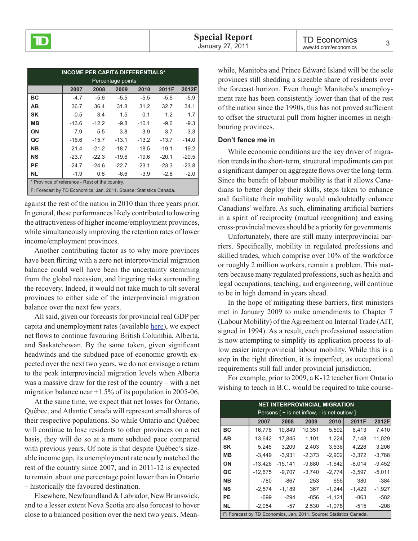| <b>INCOME PER CAPITA DIFFERENTIALS*</b>                            |         |         |         |         |         |         |  |  |
|--------------------------------------------------------------------|---------|---------|---------|---------|---------|---------|--|--|
| Percentage points                                                  |         |         |         |         |         |         |  |  |
|                                                                    | 2007    | 2008    | 2009    | 2010    | 2011F   | 2012F   |  |  |
| BC                                                                 | $-4.7$  | $-5.6$  | $-5.5$  | $-5.5$  | $-5.6$  | $-5.9$  |  |  |
| ΑВ                                                                 | 36.7    | 36.4    | 31.8    | 31.2    | 32.7    | 34.1    |  |  |
| <b>SK</b>                                                          | $-0.5$  | 3.4     | 1.5     | 0.1     | 1.2     | 1.7     |  |  |
| MВ                                                                 | $-13.6$ | $-12.2$ | $-9.8$  | $-10.1$ | $-9.6$  | $-9.3$  |  |  |
| ΟN                                                                 | 7.9     | 5.5     | 3.8     | 3.9     | 3.7     | 3.3     |  |  |
| QC                                                                 | $-16.6$ | $-15.7$ | $-13.1$ | $-13.2$ | $-13.7$ | $-14.0$ |  |  |
| <b>NB</b>                                                          | $-21.4$ | $-21.2$ | $-18.7$ | $-18.5$ | $-19.1$ | $-19.2$ |  |  |
| <b>NS</b>                                                          | $-23.7$ | $-22.3$ | $-19.6$ | $-19.6$ | $-20.1$ | $-20.5$ |  |  |
| <b>PE</b>                                                          | $-24.7$ | $-24.6$ | $-22.7$ | $-23.1$ | $-23.3$ | $-23.8$ |  |  |
| <b>NL</b>                                                          | $-1.9$  | 0.8     | $-6.6$  | $-3.9$  | $-2.8$  | $-2.0$  |  |  |
| * Province of reference - Rest of the country.                     |         |         |         |         |         |         |  |  |
| F: Forecast by TD Economics, Jan. 2011. Source: Statistics Canada. |         |         |         |         |         |         |  |  |

against the rest of the nation in 2010 than three years prior. In general, these performances likely contributed to lowering the attractiveness of higher income/employment provinces, while simultaneously improving the retention rates of lower income/employment provinces.

Another contributing factor as to why more provinces have been flirting with a zero net interprovincial migration balance could well have been the uncertainty stemming from the global recession, and lingering risks surrounding the recovery. Indeed, it would not take much to tilt several provinces to either side of the interprovincial migration balance over the next few years.

All said, given our forecasts for provincial real GDP per capita and unemployment rates (available [here\)](http://www.td.com/economics/qef/pefdec10.pdf), we expect net flows to continue favouring British Columbia, Alberta, and Saskatchewan. By the same token, given significant headwinds and the subdued pace of economic growth expected over the next two years, we do not envisage a return to the peak interprovincial migration levels when Alberta was a massive draw for the rest of the country – with a net migration balance near +1.5% of its population in 2005-06.

At the same time, we expect that net losses for Ontario, Québec, and Atlantic Canada will represent small shares of their respective populations. So while Ontario and Québec will continue to lose residents to other provinces on a net basis, they will do so at a more subdued pace compared with previous years. Of note is that despite Québec's sizeable income gap, its unemployment rate nearly matched the rest of the country since 2007, and in 2011-12 is expected to remain about one percentage point lower than in Ontario – historically the favoured destination.

Elsewhere, Newfoundland & Labrador, New Brunswick, and to a lesser extent Nova Scotia are also forecast to hover close to a balanced position over the next two years. Mean-

while, Manitoba and Prince Edward Island will be the sole provinces still shedding a sizeable share of residents over the forecast horizon. Even though Manitoba's unemployment rate has been consistently lower than that of the rest of the nation since the 1990s, this has not proved sufficient to offset the structural pull from higher incomes in neighbouring provinces.

#### **Don't fence me in**

While economic conditions are the key driver of migration trends in the short-term, structural impediments can put a significant damper on aggregate flows over the long-term. Since the benefit of labour mobility is that it allows Canadians to better deploy their skills, steps taken to enhance and facilitate their mobility would undoubtedly enhance Canadians' welfare. As such, eliminating artificial barriers in a spirit of reciprocity (mutual recognition) and easing cross-provincial moves should be a priority for governments.

Unfortunately, there are still many interprovincial barriers. Specifically, mobility in regulated professions and skilled trades, which comprise over 10% of the workforce or roughly 2 million workers, remain a problem. This matters because many regulated professions, such as health and legal occupations, teaching, and engineering, will continue to be in high demand in years ahead.

In the hope of mitigating these barriers, first ministers met in January 2009 to make amendments to Chapter 7 (Labour Mobility) of the Agreement on Internal Trade (AIT, signed in 1994). As a result, each professional association is now attempting to simplify its application process to allow easier interprovincial labour mobility. While this is a step in the right direction, it is imperfect, as occupational requirements still fall under provincial jurisdiction.

For example, prior to 2009, a K-12 teacher from Ontario wishing to teach in B.C. would be required to take course-

| <b>NET INTERPROVINCIAL MIGRATION</b>                                    |           |           |          |          |          |          |  |  |  |
|-------------------------------------------------------------------------|-----------|-----------|----------|----------|----------|----------|--|--|--|
| Persons $\lceil + \text{is net inflow} \rceil$ - is net outlow $\lceil$ |           |           |          |          |          |          |  |  |  |
|                                                                         | 2007      | 2008      | 2009     | 2010     | 2011F    | 2012F    |  |  |  |
| ВC                                                                      | 16,776    | 10.849    | 10,351   | 5,592    | 6,413    | 7,410    |  |  |  |
| AВ                                                                      | 13,642    | 17.845    | 1.101    | 1,224    | 7.148    | 11,029   |  |  |  |
| <b>SK</b>                                                               | 5.245     | 3.209     | 2,403    | 3,536    | 4,228    | 3,206    |  |  |  |
| MВ                                                                      | $-3.449$  | $-3.931$  | $-2,373$ | $-2,902$ | $-3,372$ | $-3,788$ |  |  |  |
| ΟN                                                                      | $-13.426$ | $-15.141$ | $-9.880$ | $-1,642$ | $-8.014$ | $-9,452$ |  |  |  |
| QC                                                                      | $-12,675$ | $-9.707$  | $-3,740$ | $-2,774$ | $-3,597$ | $-5,011$ |  |  |  |
| NВ                                                                      | -780      | -867      | 253      | 656      | 380      | $-384$   |  |  |  |
| ΝS                                                                      | $-2.574$  | $-1.189$  | 367      | $-1.244$ | $-1,429$ | $-1,927$ |  |  |  |
| PE                                                                      | $-699$    | $-294$    | -856     | $-1,121$ | -863     | $-582$   |  |  |  |
| NL.                                                                     | $-2,054$  | -57       | 2,530    | $-1,078$ | $-515$   | $-208$   |  |  |  |
| F: Forecast by TD Economics, Jan. 2011. Source: Statistics Canada.      |           |           |          |          |          |          |  |  |  |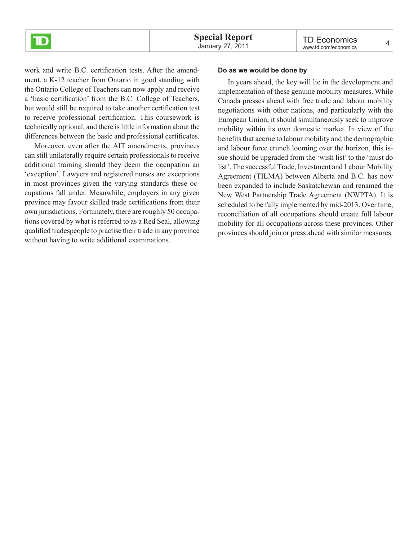

work and write B.C. certification tests. After the amendment, a K-12 teacher from Ontario in good standing with the Ontario College of Teachers can now apply and receive a 'basic certification' from the B.C. College of Teachers, but would still be required to take another certification test to receive professional certification. This coursework is technically optional, and there is little information about the differences between the basic and professional certificates.

Moreover, even after the AIT amendments, provinces can still unilaterally require certain professionals to receive additional training should they deem the occupation an 'exception'. Lawyers and registered nurses are exceptions in most provinces given the varying standards these occupations fall under. Meanwhile, employers in any given province may favour skilled trade certifications from their own jurisdictions. Fortunately, there are roughly 50 occupations covered by what is referred to as a Red Seal, allowing qualified tradespeople to practise their trade in any province without having to write additional examinations.

#### **Do as we would be done by**

In years ahead, the key will lie in the development and implementation of these genuine mobility measures. While Canada presses ahead with free trade and labour mobility negotiations with other nations, and particularly with the European Union, it should simultaneously seek to improve mobility within its own domestic market. In view of the benefits that accrue to labour mobility and the demographic and labour force crunch looming over the horizon, this issue should be upgraded from the 'wish list' to the 'must do list'. The successful Trade, Investment and Labour Mobility Agreement (TILMA) between Alberta and B.C. has now been expanded to include Saskatchewan and renamed the New West Partnership Trade Agreement (NWPTA). It is scheduled to be fully implemented by mid-2013. Over time, reconciliation of all occupations should create full labour mobility for all occupations across these provinces. Other provinces should join or press ahead with similar measures.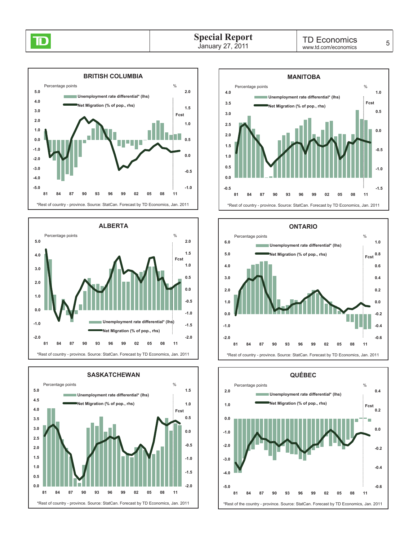